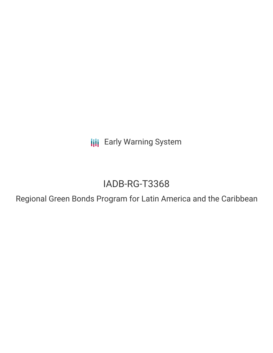**III** Early Warning System

## IADB-RG-T3368

Regional Green Bonds Program for Latin America and the Caribbean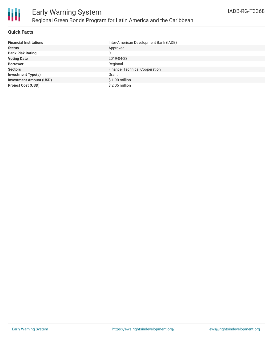

#### **Quick Facts**

| <b>Financial Institutions</b>  | Inter-American Development Bank (IADB) |
|--------------------------------|----------------------------------------|
| <b>Status</b>                  | Approved                               |
| <b>Bank Risk Rating</b>        | C                                      |
| <b>Voting Date</b>             | 2019-04-23                             |
| <b>Borrower</b>                | Regional                               |
| <b>Sectors</b>                 | Finance, Technical Cooperation         |
| <b>Investment Type(s)</b>      | Grant                                  |
| <b>Investment Amount (USD)</b> | $$1.90$ million                        |
| <b>Project Cost (USD)</b>      | $$2.05$ million                        |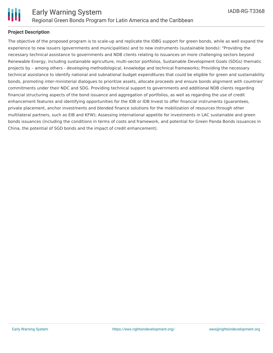

#### **Project Description**

The objective of the proposed program is to scale-up and replicate the IDBG support for green bonds, while as well expand the experience to new issuers (governments and municipalities) and to new instruments (sustainable bonds): "Providing the necessary technical assistance to governments and NDB clients relating to issuances on more challenging sectors beyond Renewable Energy, including sustainable agriculture, multi-sector portfolios, Sustainable Development Goals (SDGs) thematic projects by – among others - developing methodological, knowledge and technical frameworks; Providing the necessary technical assistance to identify national and subnational budget expenditures that could be eligible for green and sustainability bonds, promoting inter-ministerial dialogues to prioritize assets, allocate proceeds and ensure bonds alignment with countries' commitments under their NDC and SDG. Providing technical support to governments and additional NDB clients regarding financial structuring aspects of the bond issuance and aggregation of portfolios, as well as regarding the use of credit enhancement features and identifying opportunities for the IDB or IDB Invest to offer financial instruments (guarantees, private placement, anchor investments and blended finance solutions for the mobilization of resources through other multilateral partners, such as EIB and KFW); Assessing international appetite for investments in LAC sustainable and green bonds issuances (including the conditions in terms of costs and framework, and potential for Green Panda Bonds issuances in China, the potential of SGD bonds and the impact of credit enhancement).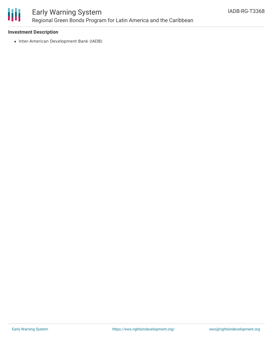

### Early Warning System Regional Green Bonds Program for Latin America and the Caribbean

#### **Investment Description**

• Inter-American Development Bank (IADB)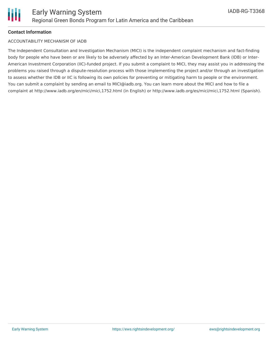#### **Contact Information**

#### ACCOUNTABILITY MECHANISM OF IADB

The Independent Consultation and Investigation Mechanism (MICI) is the independent complaint mechanism and fact-finding body for people who have been or are likely to be adversely affected by an Inter-American Development Bank (IDB) or Inter-American Investment Corporation (IIC)-funded project. If you submit a complaint to MICI, they may assist you in addressing the problems you raised through a dispute-resolution process with those implementing the project and/or through an investigation to assess whether the IDB or IIC is following its own policies for preventing or mitigating harm to people or the environment. You can submit a complaint by sending an email to MICI@iadb.org. You can learn more about the MICI and how to file a complaint at http://www.iadb.org/en/mici/mici,1752.html (in English) or http://www.iadb.org/es/mici/mici,1752.html (Spanish).